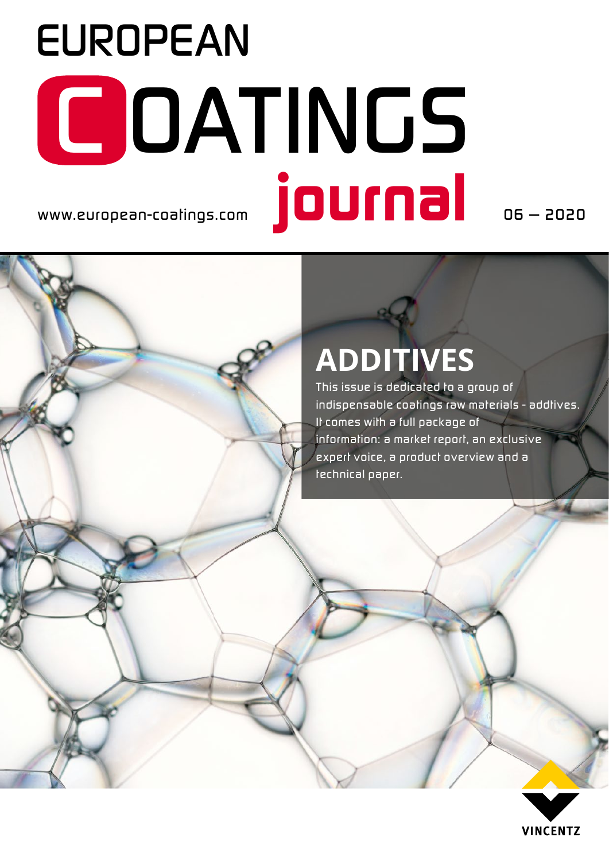# *www.european-coatings.com EUROPEAN journal C OATINGS*

*06 — 2020*

### **ADDITIVES**

*This issue is dedicated to a group of indispensable coatings raw materials - addtives. It comes with a full package of information: a market report, an exclusive expert voice, a product over view and a technical paper.*

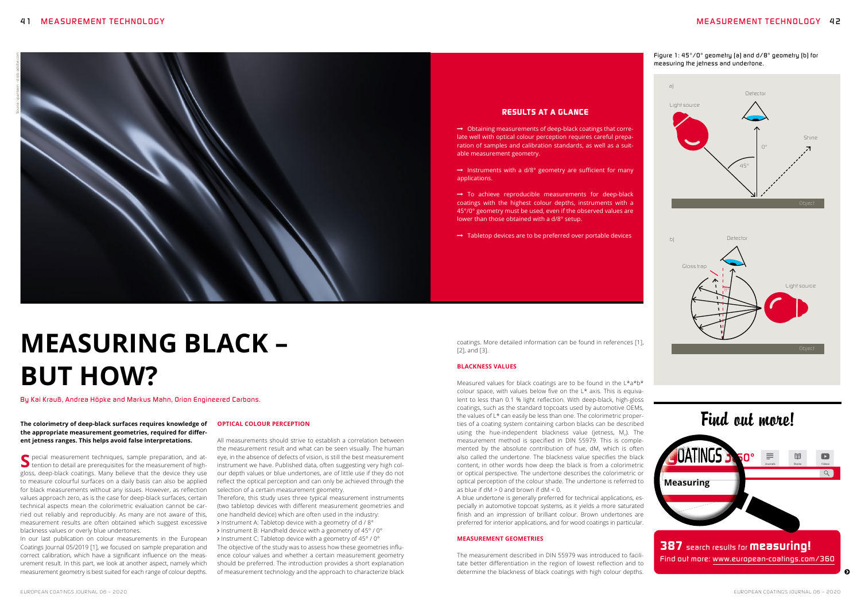#### *RESULTS AT A GLANCE*

 $\rightarrow$  Obtaining measurements of deep-black coatings that correlate well with optical colour perception requires careful preparation of samples and calibration standards, as well as a suitable measurement geometry.

 $\rightarrow$  Instruments with a d/8° geometry are sufficient for many applications.

 $\rightarrow$  To achieve reproducible measurements for deep-black coatings with the highest colour depths, instruments with a 45°/0° geometry must be used, even if the observed values are lower than those obtained with a d/8° setup.

 $\rightarrow$  Tabletop devices are to be preferred over portable devices

Measured values for black coatings are to be found in the L\*a\*b\* colour space, with values below five on the L\* axis. This is equivalent to less than 0.1 % light reflection. With deep-black, high-gloss coatings, such as the standard topcoats used by automotive OEMs, the values of L\* can easily be less than one. The colorimetric properties of a coating system containing carbon blacks can be described using the hue-independent blackness value (jetness,  $M_{\gamma}$ ). The measurement method is specified in DIN 55979. This is complemented by the absolute contribution of hue, dM, which is often also called the undertone. The blackness value specifies the black content, in other words how deep the black is from a colorimetric or optical perspective. The undertone describes the colorimetric or optical perception of the colour shade. The undertone is referred to as blue if  $dM > 0$  and brown if  $dM < 0$ .

coatings. More detailed information can be found in references [1], [2], and [3].

#### **BLACKNESS VALUES**

The measurement described in DIN 55979 was introduced to facilitate better differentiation in the region of lowest reflection and to determine the blackness of black coatings with high colour depths. **The contract of the contract of the contract of the contract of the contract of the contract of the contract of the contract of the contract of the contra** 

S pecial measurement techniques, sample preparation, and attention to detail are prerequisites for the measurement of highgloss, deep-black coatings. Many believe that the device they use to measure colourful surfaces on a daily basis can also be applied for black measurements without any issues. However, as reflection values approach zero, as is the case for deep-black surfaces, certain technical aspects mean the colorimetric evaluation cannot be carried out reliably and reproducibly. As many are not aware of this, measurement results are often obtained which suggest excessive blackness values or overly blue undertones.

A blue undertone is generally preferred for technical applications, especially in automotive topcoat systems, as it yields a more saturated finish and an impression of brilliant colour. Brown undertones are preferred for interior applications, and for wood coatings in particular.

#### **MEASUREMENT GEOMETRIES**

#### *Figure 1: 45°/0° geometry (a) and d/8° geometry (b) for measuring the jetness and undertone.*



> Instrument B: Handheld device with a geometry of 45° / 0° > Instrument C: Tabletop device with a geometry of 45° / 0° The objective of the study was to assess how these geometries influence colour values and whether a certain measurement geometry should be preferred. The introduction provides a short explanation of measurement technology and the approach to characterize black

## **MEASURING BLACK – BUT HOW?**

*By Kai Krauß, Andrea Höpke and Markus Mahn, Orion Engineered Carbons.*

**The colorimetry of deep-black surfaces requires knowledge of the appropriate measurement geometries, required for different jetness ranges. This helps avoid false interpretations.** 

In our last publication on colour measurements in the European Coatings Journal 05/2019 [1], we focused on sample preparation and correct calibration, which have a significant influence on the measurement result. In this part, we look at another aspect, namely which measurement geometry is best suited for each range of colour depths.

#### **OPTICAL COLOUR PERCEPTION**

All measurements should strive to establish a correlation between the measurement result and what can be seen visually. The human eye, in the absence of defects of vision, is still the best measurement instrument we have. Published data, often suggesting very high colour depth values or blue undertones, are of little use if they do not reflect the optical perception and can only be achieved through the selection of a certain measurement geometry.

Therefore, this study uses three typical measurement instruments (two tabletop devices with different measurement geometries and one handheld device) which are often used in the industry:

> Instrument A: Tabletop device with a geometry of d / 8°

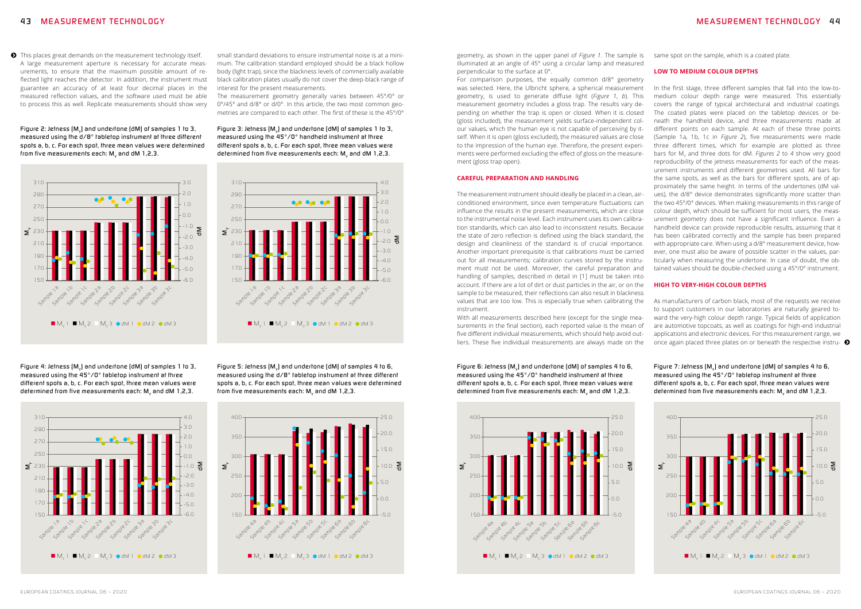#### *4 3 MEASUREMENT TECHNOLOGY MEASUREMENT TECHNOLOGY 4 4*

**•** This places great demands on the measurement technology itself. A large measurement aperture is necessary for accurate measurements, to ensure that the maximum possible amount of reflected light reaches the detector. In addition, the instrument must guarantee an accuracy of at least four decimal places in the measured reflection values, and the software used must be able to process this as well. Replicate measurements should show very

*Figure 2: Jetness (M<sub>v</sub>) and undertone (dM) of samples 1 to 3, measured using the d/8° tabletop instrument at three different spots a, b, c. For each spot, three mean values were determined from five measurements each: M<sub>v</sub> and dM 1,2,3.* 









*Figure 4: Jetness (M<sub>v</sub>) and undertone (dM) of samples 1 to 3, measured using the 45°/0° tabletop instrument at three different spots a, b, c. For each spot, three mean values were*  determined from five measurements each: M<sub>y</sub> and dM 1,2,3.

*Figure 5: Jetness (M<sub>v</sub>) and undertone (dM) of samples 4 to 6, measured using the d/8° tabletop instrument at three different spots a, b, c. For each spot, three mean values were determined from five measurements each: M<sub>v</sub> and dM 1,2,3.* 

With all measurements described here (except for the single measurements in the final section), each reported value is the mean of five different individual measurements, which should help avoid outliers. These five individual measurements are always made on the once again placed three plates on or beneath the respective instru-  $\bullet$ 

*Figure 6: Jetness (M<sub>v</sub>) and undertone (dM) of samples 4 to 6, measured using the 45°/0° handheld instrument at three different spots a, b, c. For each spot, three mean values were determined from five measurements each:* M<sub>v</sub> and dM 1,2,3.

small standard deviations to ensure instrumental noise is at a minimum. The calibration standard employed should be a black hollow body (light trap), since the blackness levels of commercially available black calibration plates usually do not cover the deep-black range of interest for the present measurements.

> *Figure 7: Jetness (M<sub>v</sub>) and undertone (dM) of samples 4 to 6, measured using the 45°/0° tabletop instrument at three different spots a, b, c. For each spot, three mean values were*

The measurement geometry generally varies between 45°/0° or 0°/45° and d/8° or d/0°. In this article, the two most common geometries are compared to each other. The first of these is the 45°/0°

*Figure 3: Jetness (M<sub>v</sub>) and undertone (dM) of samples 1 to 3, measured using the 45°/0° handheld instrument at three different spots a, b, c. For each spot, three mean values were determined from five measurements each:* M<sub>v</sub> and dM 1,2,3.

geometry, as shown in the upper panel of *Figure 1*. The sample is illuminated at an angle of 45° using a circular lamp and measured perpendicular to the surface at 0°.

For comparison purposes, the equally common d/8° geometry was selected. Here, the Ulbricht sphere, a spherical measurement geometry, is used to generate diffuse light (*Figure 1*, *b*). This measurement geometry includes a gloss trap. The results vary depending on whether the trap is open or closed. When it is closed (gloss included), the measurement yields surface-independent colour values, which the human eye is not capable of perceiving by itself. When it is open (gloss excluded), the measured values are close to the impression of the human eye. Therefore, the present experiments were performed excluding the effect of gloss on the measurement (gloss trap open).

#### **CAREFUL PREPARATION AND HANDLING**

The measurement instrument should ideally be placed in a clean, airconditioned environment, since even temperature fluctuations can influence the results in the present measurements, which are close to the instrumental noise level. Each instrument uses its own calibration standards, which can also lead to inconsistent results. Because the state of zero reflection is defined using the black standard, the design and cleanliness of the standard is of crucial importance. Another important prerequisite is that calibrations must be carried out for all measurements; calibration curves stored by the instrument must not be used. Moreover, the careful preparation and handling of samples, described in detail in [1] must be taken into account. If there are a lot of dirt or dust particles in the air, or on the sample to be measured, their reflections can also result in blackness values that are too low. This is especially true when calibrating the instrument.





same spot on the sample, which is a coated plate.

#### **LOW TO MEDIUM COLOUR DEPTHS**

In the first stage, three different samples that fall into the low-tomedium colour depth range were measured. This essentially covers the range of typical architectural and industrial coatings. The coated plates were placed on the tabletop devices or beneath the handheld device, and three measurements made at different points on each sample. At each of these three points (Sample 1a, 1b, 1c in *Figure 2*), five measurements were made three different times, which for example are plotted as three bars for M<sub>y</sub> and three dots for dM. Figures 2 to 4 show very good reproducibility of the jetness measurements for each of the measurement instruments and different geometries used. All bars for the same spots, as well as the bars for different spots, are of approximately the same height. In terms of the undertones (dM values), the d/8° device demonstrates significantly more scatter than the two 45°/0° devices. When making measurements in this range of colour depth, which should be sufficient for most users, the measurement geometry does not have a significant influence. Even a handheld device can provide reproducible results, assuming that it has been calibrated correctly and the sample has been prepared with appropriate care. When using a d/8° measurement device, however, one must also be aware of possible scatter in the values, particularly when measuring the undertone. In case of doubt, the obtained values should be double-checked using a 45°/0° instrument.

#### **HIGH TO VERY-HIGH COLOUR DEPTHS**

As manufacturers of carbon black, most of the requests we receive to support customers in our laboratories are naturally geared toward the very-high colour depth range. Typical fields of application are automotive topcoats, as well as coatings for high-end industrial applications and electronic devices. For this measurement range, we